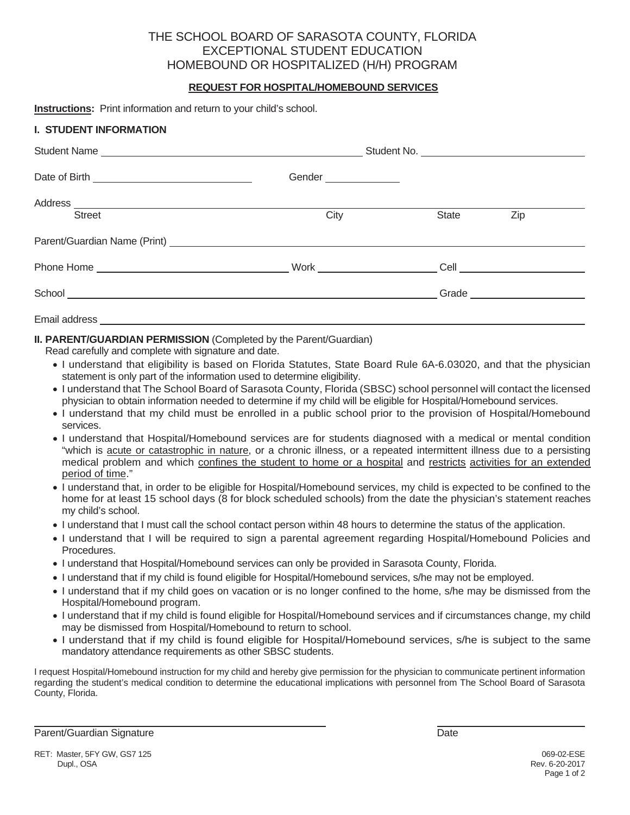# THE SCHOOL BOARD OF SARASOTA COUNTY, FLORIDA EXCEPTIONAL STUDENT EDUCATION HOMEBOUND OR HOSPITALIZED (H/H) PROGRAM

## **REQUEST FOR HOSPITAL/HOMEBOUND SERVICES**

**Instructions:** Print information and return to your child's school.

### **I. STUDENT INFORMATION**

|               | Gender _______________ |       |                               |  |
|---------------|------------------------|-------|-------------------------------|--|
| <b>Street</b> | City                   | State | Zip                           |  |
|               |                        |       |                               |  |
|               |                        |       |                               |  |
|               |                        |       |                               |  |
|               |                        |       | Grade _______________________ |  |
|               |                        |       |                               |  |

**II. PARENT/GUARDIAN PERMISSION** (Completed by the Parent/Guardian)

- Read carefully and complete with signature and date.
	- I understand that eligibility is based on Florida Statutes, State Board Rule 6A-6.03020, and that the physician statement is only part of the information used to determine eligibility.
	- x I understand that The School Board of Sarasota County, Florida (SBSC) school personnel will contact the licensed physician to obtain information needed to determine if my child will be eligible for Hospital/Homebound services.
	- I understand that my child must be enrolled in a public school prior to the provision of Hospital/Homebound services.
	- x I understand that Hospital/Homebound services are for students diagnosed with a medical or mental condition "which is acute or catastrophic in nature, or a chronic illness, or a repeated intermittent illness due to a persisting medical problem and which confines the student to home or a hospital and restricts activities for an extended period of time."
	- x I understand that, in order to be eligible for Hospital/Homebound services, my child is expected to be confined to the home for at least 15 school days (8 for block scheduled schools) from the date the physician's statement reaches my child's school.
	- I understand that I must call the school contact person within 48 hours to determine the status of the application.
	- I understand that I will be required to sign a parental agreement regarding Hospital/Homebound Policies and Procedures.
	- x I understand that Hospital/Homebound services can only be provided in Sarasota County, Florida.
	- x I understand that if my child is found eligible for Hospital/Homebound services, s/he may not be employed.
	- I understand that if my child goes on vacation or is no longer confined to the home, s/he may be dismissed from the Hospital/Homebound program.
	- I understand that if my child is found eligible for Hospital/Homebound services and if circumstances change, my child may be dismissed from Hospital/Homebound to return to school.
	- x I understand that if my child is found eligible for Hospital/Homebound services, s/he is subject to the same mandatory attendance requirements as other SBSC students.

I request Hospital/Homebound instruction for my child and hereby give permission for the physician to communicate pertinent information regarding the student's medical condition to determine the educational implications with personnel from The School Board of Sarasota County, Florida.

Parent/Guardian Signature **Date of Contract Contract Contract Contract Contract Contract Contract Contract Contract Contract Contract Contract Contract Contract Contract Contract Contract Contract Contract Contract Contrac**